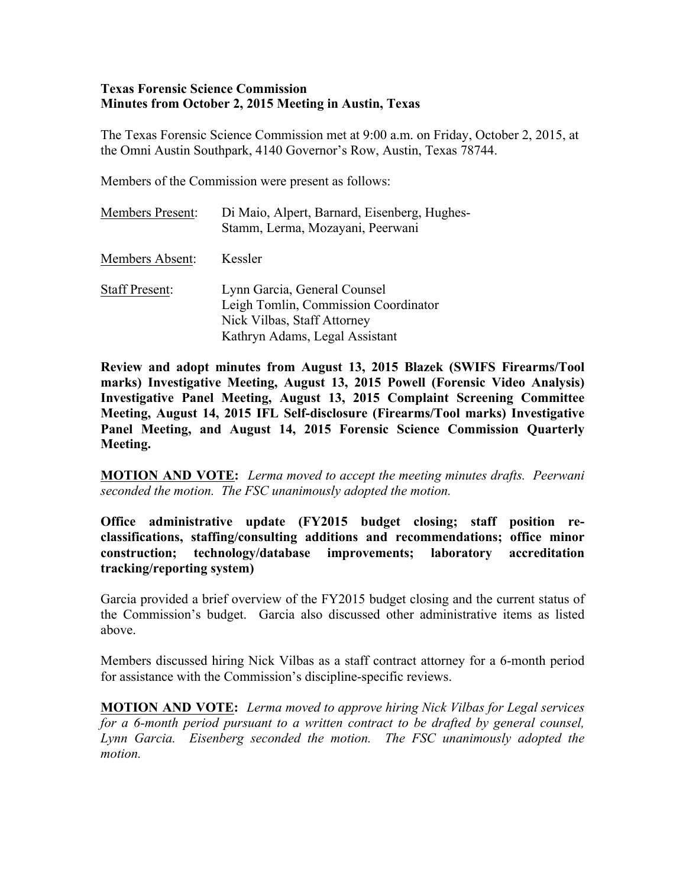#### **Texas Forensic Science Commission Minutes from October 2, 2015 Meeting in Austin, Texas**

The Texas Forensic Science Commission met at 9:00 a.m. on Friday, October 2, 2015, at the Omni Austin Southpark, 4140 Governor's Row, Austin, Texas 78744.

Members of the Commission were present as follows:

| <b>Members Present:</b> | Di Maio, Alpert, Barnard, Eisenberg, Hughes-<br>Stamm, Lerma, Mozayani, Peerwani                                                      |
|-------------------------|---------------------------------------------------------------------------------------------------------------------------------------|
| Members Absent:         | Kessler                                                                                                                               |
| <b>Staff Present:</b>   | Lynn Garcia, General Counsel<br>Leigh Tomlin, Commission Coordinator<br>Nick Vilbas, Staff Attorney<br>Kathryn Adams, Legal Assistant |

**Review and adopt minutes from August 13, 2015 Blazek (SWIFS Firearms/Tool marks) Investigative Meeting, August 13, 2015 Powell (Forensic Video Analysis) Investigative Panel Meeting, August 13, 2015 Complaint Screening Committee Meeting, August 14, 2015 IFL Self-disclosure (Firearms/Tool marks) Investigative Panel Meeting, and August 14, 2015 Forensic Science Commission Quarterly Meeting.**

**MOTION AND VOTE:** *Lerma moved to accept the meeting minutes drafts. Peerwani seconded the motion. The FSC unanimously adopted the motion.*

**Office administrative update (FY2015 budget closing; staff position reclassifications, staffing/consulting additions and recommendations; office minor construction; technology/database improvements; laboratory accreditation tracking/reporting system)** 

Garcia provided a brief overview of the FY2015 budget closing and the current status of the Commission's budget. Garcia also discussed other administrative items as listed above.

Members discussed hiring Nick Vilbas as a staff contract attorney for a 6-month period for assistance with the Commission's discipline-specific reviews.

**MOTION AND VOTE:** *Lerma moved to approve hiring Nick Vilbas for Legal services for a 6-month period pursuant to a written contract to be drafted by general counsel, Lynn Garcia. Eisenberg seconded the motion. The FSC unanimously adopted the motion.*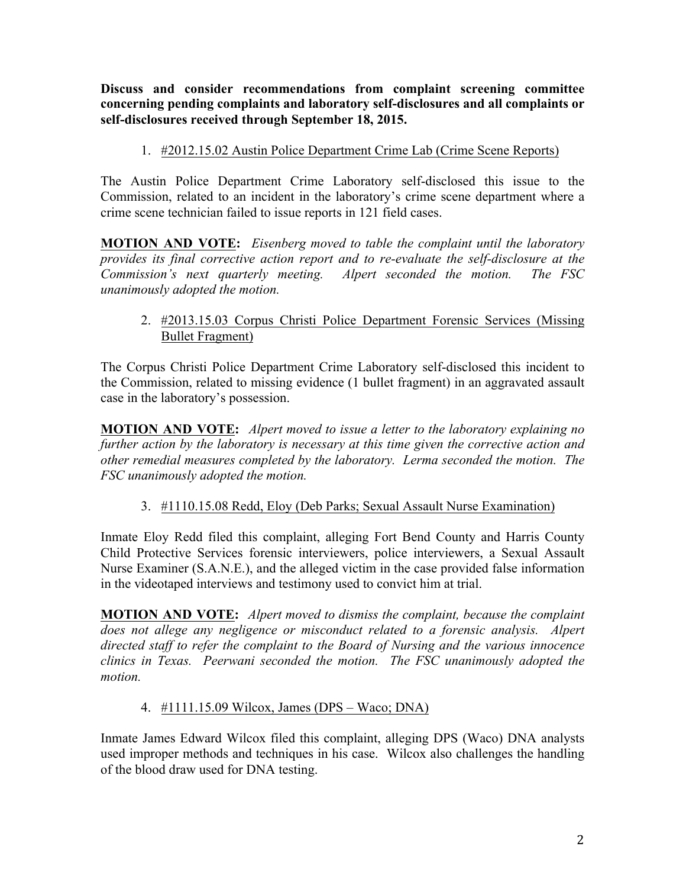**Discuss and consider recommendations from complaint screening committee concerning pending complaints and laboratory self-disclosures and all complaints or self-disclosures received through September 18, 2015.**

1. #2012.15.02 Austin Police Department Crime Lab (Crime Scene Reports)

The Austin Police Department Crime Laboratory self-disclosed this issue to the Commission, related to an incident in the laboratory's crime scene department where a crime scene technician failed to issue reports in 121 field cases.

**MOTION AND VOTE:** *Eisenberg moved to table the complaint until the laboratory provides its final corrective action report and to re-evaluate the self-disclosure at the Commission's next quarterly meeting. Alpert seconded the motion. The FSC unanimously adopted the motion.*

# 2. #2013.15.03 Corpus Christi Police Department Forensic Services (Missing Bullet Fragment)

The Corpus Christi Police Department Crime Laboratory self-disclosed this incident to the Commission, related to missing evidence (1 bullet fragment) in an aggravated assault case in the laboratory's possession.

**MOTION AND VOTE:** *Alpert moved to issue a letter to the laboratory explaining no further action by the laboratory is necessary at this time given the corrective action and other remedial measures completed by the laboratory. Lerma seconded the motion. The FSC unanimously adopted the motion.*

# 3. #1110.15.08 Redd, Eloy (Deb Parks; Sexual Assault Nurse Examination)

Inmate Eloy Redd filed this complaint, alleging Fort Bend County and Harris County Child Protective Services forensic interviewers, police interviewers, a Sexual Assault Nurse Examiner (S.A.N.E.), and the alleged victim in the case provided false information in the videotaped interviews and testimony used to convict him at trial.

**MOTION AND VOTE:** *Alpert moved to dismiss the complaint, because the complaint does not allege any negligence or misconduct related to a forensic analysis. Alpert directed staff to refer the complaint to the Board of Nursing and the various innocence clinics in Texas. Peerwani seconded the motion. The FSC unanimously adopted the motion.*

## 4. #1111.15.09 Wilcox, James (DPS – Waco; DNA)

Inmate James Edward Wilcox filed this complaint, alleging DPS (Waco) DNA analysts used improper methods and techniques in his case. Wilcox also challenges the handling of the blood draw used for DNA testing.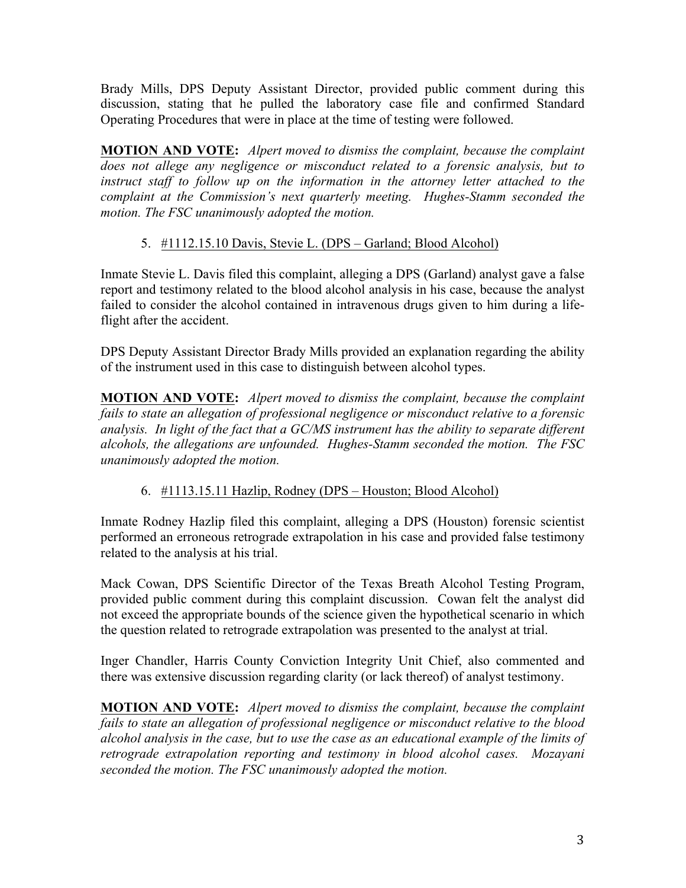Brady Mills, DPS Deputy Assistant Director, provided public comment during this discussion, stating that he pulled the laboratory case file and confirmed Standard Operating Procedures that were in place at the time of testing were followed.

**MOTION AND VOTE:** *Alpert moved to dismiss the complaint, because the complaint does not allege any negligence or misconduct related to a forensic analysis, but to instruct staff to follow up on the information in the attorney letter attached to the complaint at the Commission's next quarterly meeting. Hughes-Stamm seconded the motion. The FSC unanimously adopted the motion.*

# 5. #1112.15.10 Davis, Stevie L. (DPS – Garland; Blood Alcohol)

Inmate Stevie L. Davis filed this complaint, alleging a DPS (Garland) analyst gave a false report and testimony related to the blood alcohol analysis in his case, because the analyst failed to consider the alcohol contained in intravenous drugs given to him during a lifeflight after the accident.

DPS Deputy Assistant Director Brady Mills provided an explanation regarding the ability of the instrument used in this case to distinguish between alcohol types.

**MOTION AND VOTE:** *Alpert moved to dismiss the complaint, because the complaint fails to state an allegation of professional negligence or misconduct relative to a forensic analysis. In light of the fact that a GC/MS instrument has the ability to separate different alcohols, the allegations are unfounded. Hughes-Stamm seconded the motion. The FSC unanimously adopted the motion.* 

# 6. #1113.15.11 Hazlip, Rodney (DPS – Houston; Blood Alcohol)

Inmate Rodney Hazlip filed this complaint, alleging a DPS (Houston) forensic scientist performed an erroneous retrograde extrapolation in his case and provided false testimony related to the analysis at his trial.

Mack Cowan, DPS Scientific Director of the Texas Breath Alcohol Testing Program, provided public comment during this complaint discussion. Cowan felt the analyst did not exceed the appropriate bounds of the science given the hypothetical scenario in which the question related to retrograde extrapolation was presented to the analyst at trial.

Inger Chandler, Harris County Conviction Integrity Unit Chief, also commented and there was extensive discussion regarding clarity (or lack thereof) of analyst testimony.

**MOTION AND VOTE:** *Alpert moved to dismiss the complaint, because the complaint fails to state an allegation of professional negligence or misconduct relative to the blood alcohol analysis in the case, but to use the case as an educational example of the limits of retrograde extrapolation reporting and testimony in blood alcohol cases. Mozayani seconded the motion. The FSC unanimously adopted the motion.*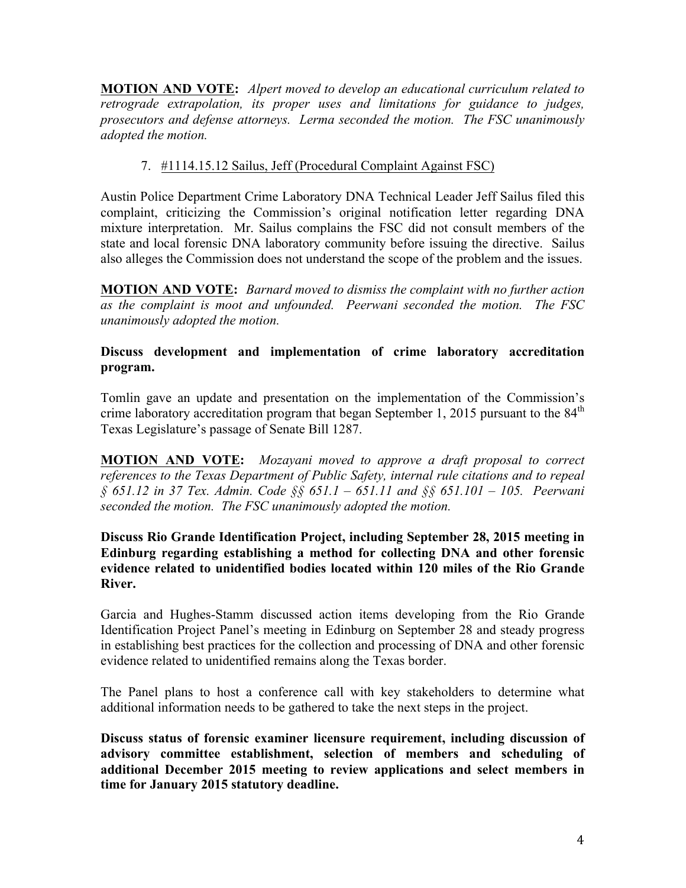**MOTION AND VOTE:** *Alpert moved to develop an educational curriculum related to retrograde extrapolation, its proper uses and limitations for guidance to judges, prosecutors and defense attorneys. Lerma seconded the motion. The FSC unanimously adopted the motion.*

# 7. #1114.15.12 Sailus, Jeff (Procedural Complaint Against FSC)

Austin Police Department Crime Laboratory DNA Technical Leader Jeff Sailus filed this complaint, criticizing the Commission's original notification letter regarding DNA mixture interpretation. Mr. Sailus complains the FSC did not consult members of the state and local forensic DNA laboratory community before issuing the directive. Sailus also alleges the Commission does not understand the scope of the problem and the issues.

**MOTION AND VOTE:** *Barnard moved to dismiss the complaint with no further action as the complaint is moot and unfounded. Peerwani seconded the motion. The FSC unanimously adopted the motion.*

## **Discuss development and implementation of crime laboratory accreditation program.**

Tomlin gave an update and presentation on the implementation of the Commission's crime laboratory accreditation program that began September 1, 2015 pursuant to the  $84<sup>th</sup>$ Texas Legislature's passage of Senate Bill 1287.

**MOTION AND VOTE:** *Mozayani moved to approve a draft proposal to correct references to the Texas Department of Public Safety, internal rule citations and to repeal § 651.12 in 37 Tex. Admin. Code §§ 651.1 – 651.11 and §§ 651.101 – 105. Peerwani seconded the motion. The FSC unanimously adopted the motion.*

#### **Discuss Rio Grande Identification Project, including September 28, 2015 meeting in Edinburg regarding establishing a method for collecting DNA and other forensic evidence related to unidentified bodies located within 120 miles of the Rio Grande River.**

Garcia and Hughes-Stamm discussed action items developing from the Rio Grande Identification Project Panel's meeting in Edinburg on September 28 and steady progress in establishing best practices for the collection and processing of DNA and other forensic evidence related to unidentified remains along the Texas border.

The Panel plans to host a conference call with key stakeholders to determine what additional information needs to be gathered to take the next steps in the project.

**Discuss status of forensic examiner licensure requirement, including discussion of advisory committee establishment, selection of members and scheduling of additional December 2015 meeting to review applications and select members in time for January 2015 statutory deadline.**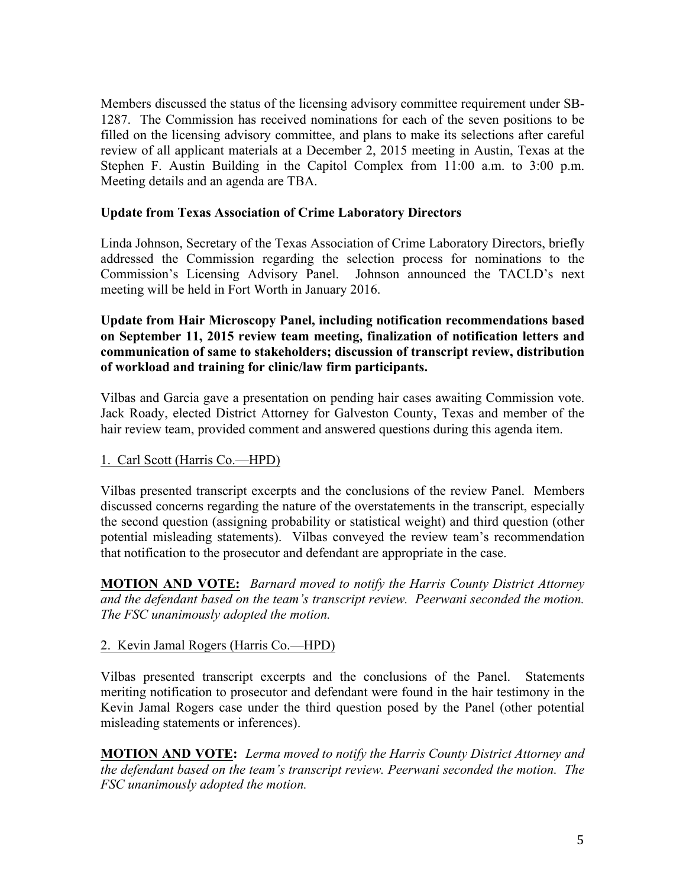Members discussed the status of the licensing advisory committee requirement under SB-1287. The Commission has received nominations for each of the seven positions to be filled on the licensing advisory committee, and plans to make its selections after careful review of all applicant materials at a December 2, 2015 meeting in Austin, Texas at the Stephen F. Austin Building in the Capitol Complex from 11:00 a.m. to 3:00 p.m. Meeting details and an agenda are TBA.

#### **Update from Texas Association of Crime Laboratory Directors**

Linda Johnson, Secretary of the Texas Association of Crime Laboratory Directors, briefly addressed the Commission regarding the selection process for nominations to the Commission's Licensing Advisory Panel. Johnson announced the TACLD's next meeting will be held in Fort Worth in January 2016.

#### **Update from Hair Microscopy Panel, including notification recommendations based on September 11, 2015 review team meeting, finalization of notification letters and communication of same to stakeholders; discussion of transcript review, distribution of workload and training for clinic/law firm participants.**

Vilbas and Garcia gave a presentation on pending hair cases awaiting Commission vote. Jack Roady, elected District Attorney for Galveston County, Texas and member of the hair review team, provided comment and answered questions during this agenda item.

## 1. Carl Scott (Harris Co.—HPD)

Vilbas presented transcript excerpts and the conclusions of the review Panel. Members discussed concerns regarding the nature of the overstatements in the transcript, especially the second question (assigning probability or statistical weight) and third question (other potential misleading statements). Vilbas conveyed the review team's recommendation that notification to the prosecutor and defendant are appropriate in the case.

**MOTION AND VOTE:** *Barnard moved to notify the Harris County District Attorney and the defendant based on the team's transcript review. Peerwani seconded the motion. The FSC unanimously adopted the motion.* 

#### 2. Kevin Jamal Rogers (Harris Co.—HPD)

Vilbas presented transcript excerpts and the conclusions of the Panel. Statements meriting notification to prosecutor and defendant were found in the hair testimony in the Kevin Jamal Rogers case under the third question posed by the Panel (other potential misleading statements or inferences).

**MOTION AND VOTE:** *Lerma moved to notify the Harris County District Attorney and the defendant based on the team's transcript review. Peerwani seconded the motion. The FSC unanimously adopted the motion.*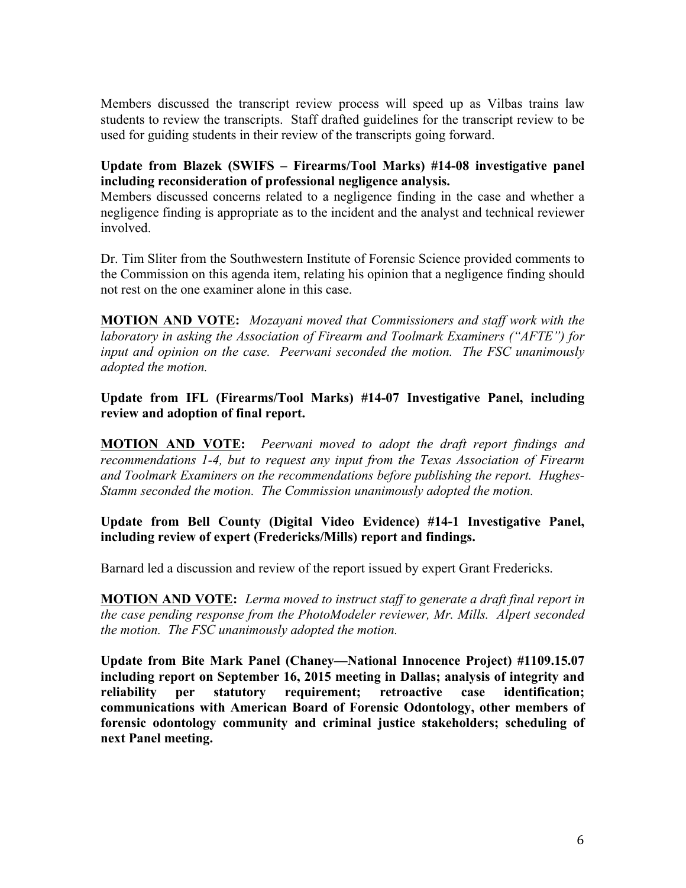Members discussed the transcript review process will speed up as Vilbas trains law students to review the transcripts. Staff drafted guidelines for the transcript review to be used for guiding students in their review of the transcripts going forward.

## **Update from Blazek (SWIFS – Firearms/Tool Marks) #14-08 investigative panel including reconsideration of professional negligence analysis.**

Members discussed concerns related to a negligence finding in the case and whether a negligence finding is appropriate as to the incident and the analyst and technical reviewer involved.

Dr. Tim Sliter from the Southwestern Institute of Forensic Science provided comments to the Commission on this agenda item, relating his opinion that a negligence finding should not rest on the one examiner alone in this case.

**MOTION AND VOTE:** *Mozayani moved that Commissioners and staff work with the laboratory in asking the Association of Firearm and Toolmark Examiners ("AFTE") for input and opinion on the case. Peerwani seconded the motion. The FSC unanimously adopted the motion.*

#### **Update from IFL (Firearms/Tool Marks) #14-07 Investigative Panel, including review and adoption of final report.**

**MOTION AND VOTE:** *Peerwani moved to adopt the draft report findings and recommendations 1-4, but to request any input from the Texas Association of Firearm and Toolmark Examiners on the recommendations before publishing the report. Hughes-Stamm seconded the motion. The Commission unanimously adopted the motion.*

## **Update from Bell County (Digital Video Evidence) #14-1 Investigative Panel, including review of expert (Fredericks/Mills) report and findings.**

Barnard led a discussion and review of the report issued by expert Grant Fredericks.

**MOTION AND VOTE:** *Lerma moved to instruct staff to generate a draft final report in the case pending response from the PhotoModeler reviewer, Mr. Mills. Alpert seconded the motion. The FSC unanimously adopted the motion.*

**Update from Bite Mark Panel (Chaney—National Innocence Project) #1109.15.07 including report on September 16, 2015 meeting in Dallas; analysis of integrity and reliability per statutory requirement; retroactive case identification; communications with American Board of Forensic Odontology, other members of forensic odontology community and criminal justice stakeholders; scheduling of next Panel meeting.**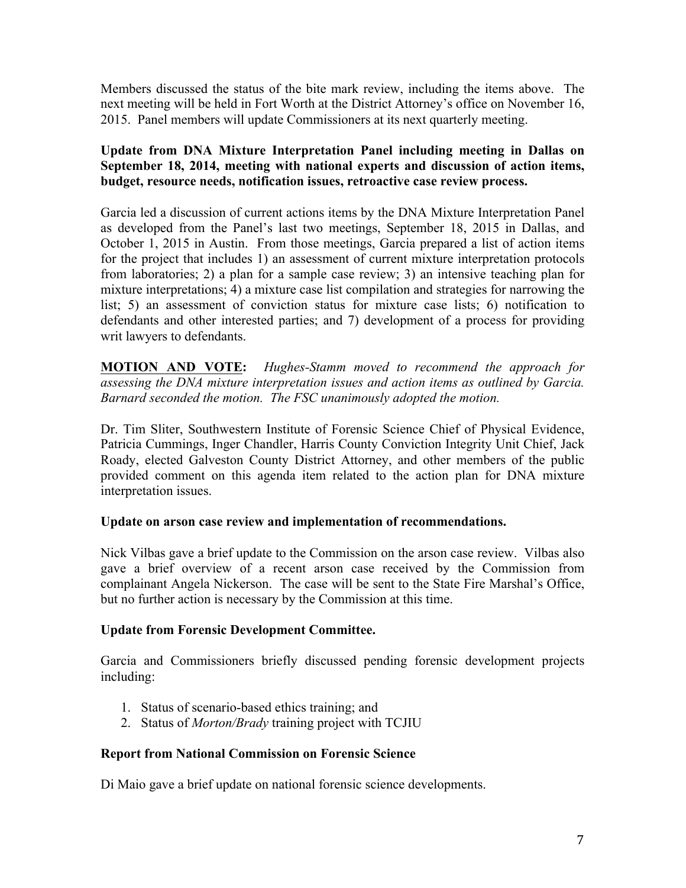Members discussed the status of the bite mark review, including the items above. The next meeting will be held in Fort Worth at the District Attorney's office on November 16, 2015. Panel members will update Commissioners at its next quarterly meeting.

## **Update from DNA Mixture Interpretation Panel including meeting in Dallas on September 18, 2014, meeting with national experts and discussion of action items, budget, resource needs, notification issues, retroactive case review process.**

Garcia led a discussion of current actions items by the DNA Mixture Interpretation Panel as developed from the Panel's last two meetings, September 18, 2015 in Dallas, and October 1, 2015 in Austin. From those meetings, Garcia prepared a list of action items for the project that includes 1) an assessment of current mixture interpretation protocols from laboratories; 2) a plan for a sample case review; 3) an intensive teaching plan for mixture interpretations; 4) a mixture case list compilation and strategies for narrowing the list; 5) an assessment of conviction status for mixture case lists; 6) notification to defendants and other interested parties; and 7) development of a process for providing writ lawyers to defendants.

**MOTION AND VOTE:** *Hughes-Stamm moved to recommend the approach for assessing the DNA mixture interpretation issues and action items as outlined by Garcia. Barnard seconded the motion. The FSC unanimously adopted the motion.* 

Dr. Tim Sliter, Southwestern Institute of Forensic Science Chief of Physical Evidence, Patricia Cummings, Inger Chandler, Harris County Conviction Integrity Unit Chief, Jack Roady, elected Galveston County District Attorney, and other members of the public provided comment on this agenda item related to the action plan for DNA mixture interpretation issues.

## **Update on arson case review and implementation of recommendations.**

Nick Vilbas gave a brief update to the Commission on the arson case review. Vilbas also gave a brief overview of a recent arson case received by the Commission from complainant Angela Nickerson. The case will be sent to the State Fire Marshal's Office, but no further action is necessary by the Commission at this time.

## **Update from Forensic Development Committee.**

Garcia and Commissioners briefly discussed pending forensic development projects including:

- 1. Status of scenario-based ethics training; and
- 2. Status of *Morton/Brady* training project with TCJIU

## **Report from National Commission on Forensic Science**

Di Maio gave a brief update on national forensic science developments.